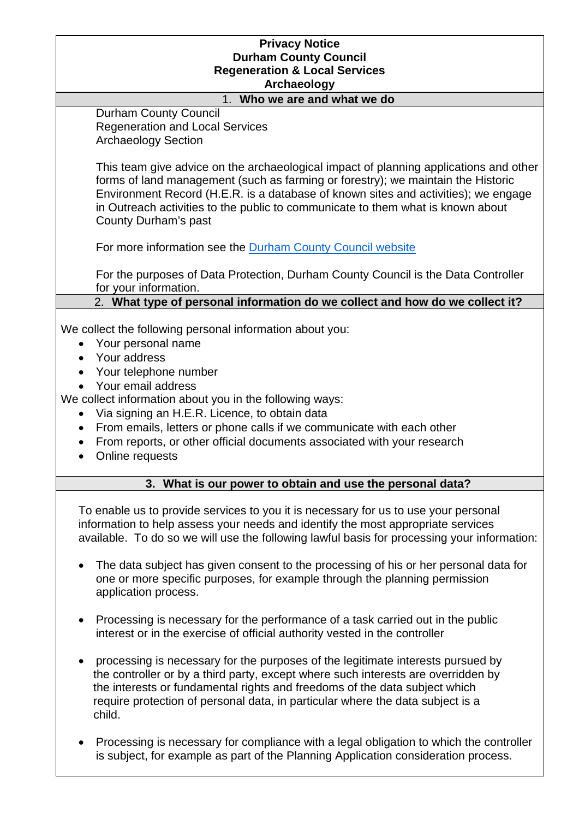## **Privacy Notice Durham County Council Regeneration & Local Services Archaeology**

#### 1. **Who we are and what we do**

Durham County Council Regeneration and Local Services Archaeology Section

This team give advice on the archaeological impact of planning applications and other forms of land management (such as farming or forestry); we maintain the Historic Environment Record (H.E.R. is a database of known sites and activities); we engage in Outreach activities to the public to communicate to them what is known about County Durham's past

For more information see the [Durham County Council website](http://www.durham.gov.uk/)

For the purposes of Data Protection, Durham County Council is the Data Controller for your information.

2. **What type of personal information do we collect and how do we collect it?**

We collect the following personal information about you:

- Your personal name
- Your address
- Your telephone number
- Your email address

We collect information about you in the following ways:

- Via signing an H.E.R. Licence, to obtain data
- From emails, letters or phone calls if we communicate with each other
- From reports, or other official documents associated with your research
- Online requests

## **3. What is our power to obtain and use the personal data?**

To enable us to provide services to you it is necessary for us to use your personal information to help assess your needs and identify the most appropriate services available. To do so we will use the following lawful basis for processing your information:

- The data subject has given consent to the processing of his or her personal data for one or more specific purposes, for example through the planning permission application process.
- Processing is necessary for the performance of a task carried out in the public interest or in the exercise of official authority vested in the controller
- processing is necessary for the purposes of the legitimate interests pursued by the controller or by a third party, except where such interests are overridden by the interests or fundamental rights and freedoms of the data subject which require protection of personal data, in particular where the data subject is a child.
- Processing is necessary for compliance with a legal obligation to which the controller is subject, for example as part of the Planning Application consideration process.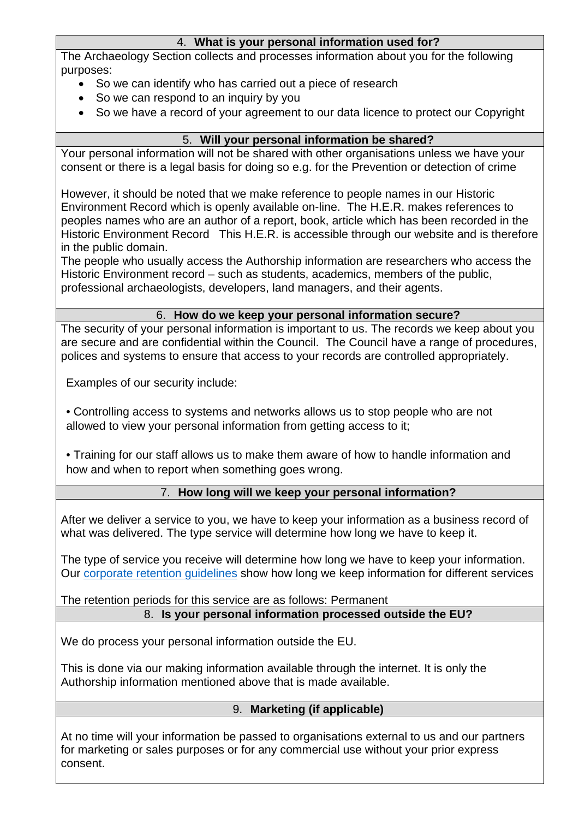## 4. **What is your personal information used for?**

The Archaeology Section collects and processes information about you for the following purposes:

- So we can identify who has carried out a piece of research
- So we can respond to an inquiry by you
- So we have a record of your agreement to our data licence to protect our Copyright

# 5. **Will your personal information be shared?**

Your personal information will not be shared with other organisations unless we have your consent or there is a legal basis for doing so e.g. for the Prevention or detection of crime

However, it should be noted that we make reference to people names in our Historic Environment Record which is openly available on-line. The H.E.R. makes references to peoples names who are an author of a report, book, article which has been recorded in the Historic Environment Record This H.E.R. is accessible through our website and is therefore in the public domain.

The people who usually access the Authorship information are researchers who access the Historic Environment record – such as students, academics, members of the public, professional archaeologists, developers, land managers, and their agents.

## 6. **How do we keep your personal information secure?**

The security of your personal information is important to us. The records we keep about you are secure and are confidential within the Council. The Council have a range of procedures, polices and systems to ensure that access to your records are controlled appropriately.

Examples of our security include:

• Controlling access to systems and networks allows us to stop people who are not allowed to view your personal information from getting access to it;

• Training for our staff allows us to make them aware of how to handle information and how and when to report when something goes wrong.

## 7. **How long will we keep your personal information?**

After we deliver a service to you, we have to keep your information as a business record of what was delivered. The type service will determine how long we have to keep it.

The type of service you receive will determine how long we have to keep your information. Our [corporate retention guidelines](http://www.durham.gov.uk/dataprivacy) show how long we keep information for different services

The retention periods for this service are as follows: Permanent 8. **Is your personal information processed outside the EU?**

We do process your personal information outside the EU.

This is done via our making information available through the internet. It is only the Authorship information mentioned above that is made available.

## 9. **Marketing (if applicable)**

At no time will your information be passed to organisations external to us and our partners for marketing or sales purposes or for any commercial use without your prior express consent.